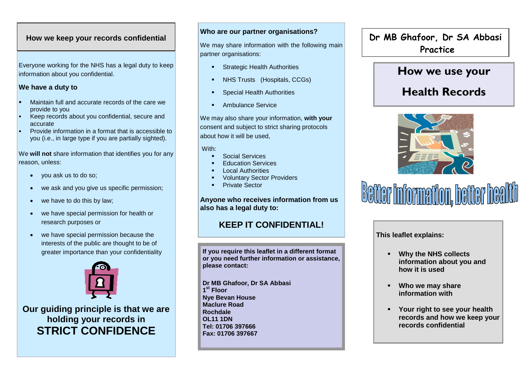### **How we keep your records confidential**

Everyone working for the NHS has a legal duty to keep information about you confidential.

#### **We have a duty to**

- Maintain full and accurate records of the care we provide to you
- Keep records about you confidential, secure and accurate
- Provide information in a format that is accessible to you (i.e., in large type if you are partially sighted).

We **will not** share information that identifies you for any reason, unless:

- you ask us to do so;
- we ask and you give us specific permission;
- we have to do this by law;
- we have special permission for health or research purposes or
- we have special permission because the interests of the public are thought to be of greater importance than your confidentiality



**Our guiding principle is that we are holding your records in STRICT CONFIDENCE**

#### **Who are our partner organisations?**

We may share information with the following main partner organisations:

- Strategic Health Authorities
- NHS Trusts (Hospitals, CCGs)
- Special Health Authorities
- Ambulance Service

We may also share your information, **with your** consent and subject to strict sharing protocols about how it will be used,

#### With:

- Social Services
- Education Services
- Local Authorities
- Voluntary Sector Providers
- Private Sector

#### **Anyone who receives information from us also has a legal duty to:**

# **KEEP IT CONFIDENTIAL!**

**If you require this leaflet in a different format or you need further information or assistance, please contact:** 

**Dr MB Ghafoor, Dr SA Abbasi 1 st Floor Nye Bevan House Maclure Road Rochdale OL11 1DN Tel: 01706 397666 Fax: 01706 397667** 

**Dr MB Ghafoor, Dr SA Abbasi Practice**

# **How we use your**

# **Health Records**





**This leaflet explains:**

- **Why the NHS collects information about you and how it is used**
- **Who we may share information with**
- **Your right to see your health records and how we keep your records confidential**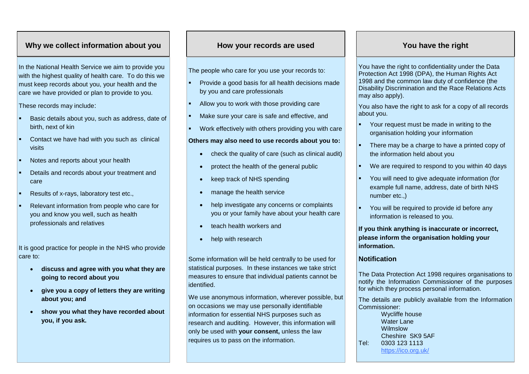## **Why we collect information about you**

In the National Health Service we aim to provide you with the highest quality of health care. To do this we must keep records about you, your health and the care we have provided or plan to provide to you.

**However records** and the use of the use of the use of the use of the use of the use of the use of the use of the use of the use of the use of the use of the use of the use of the use of the use of the use of the use of th These records may include:

- Basic details about you, such as address, date of birth, next of kin
- Contact we have had with you such as clinical visits
- Notes and reports about your health
- Details and records about your treatment and care
- Results of x-rays, laboratory test etc.,
- Relevant information from people who care for you and know you well, such as health professionals and relatives

It is good practice for people in the NHS who provide care to:

- **discuss and agree with you what they are going to record about you**
- **give you a copy of letters they are writing about you; and**
- **show you what they have recorded about you, if you ask.**

#### **How your records are used You have the right**

The people who care for you use your records to:

- Provide a good basis for all health decisions made by you and care professionals
- Allow you to work with those providing care
- Make sure your care is safe and effective, and
- Work effectively with others providing you with care

#### **Others may also need to use records about you to:**

- check the quality of care (such as clinical audit)
- protect the health of the general public
- keep track of NHS spending
- manage the health service
- help investigate any concerns or complaints you or your family have about your health care
- teach health workers and
- help with research

Some information will be held centrally to be used for statistical purposes. In these instances we take strict measures to ensure that individual patients cannot be identified.

We use anonymous information, wherever possible, but on occasions we may use personally identifiable information for essential NHS purposes such as research and auditing. However, this information will only be used with **your consent,** unless the law requires us to pass on the information.

You have the right to confidentiality under the Data Protection Act 1998 (DPA), the Human Rights Act 1998 and the common law duty of confidence (the Disability Discrimination and the Race Relations Acts may also apply).

You also have the right to ask for a copy of all records about you.

- Your request must be made in writing to the organisation holding your information
- There may be a charge to have a printed copy of the information held about you
- We are required to respond to you within 40 days
- You will need to give adequate information (for example full name, address, date of birth NHS number etc.,)
- You will be required to provide id before any information is released to you.

**If you think anything is inaccurate or incorrect, please inform the organisation holding your information.**

#### **Notification**

The Data Protection Act 1998 requires organisations to notify the Information Commissioner of the purposes for which they process personal information.

The details are publicly available from the Information Commissioner:

Wycliffe house Water Lane Wilmslow Cheshire SK9 5AF Tel: 0303 123 1113 https://ico.org.uk/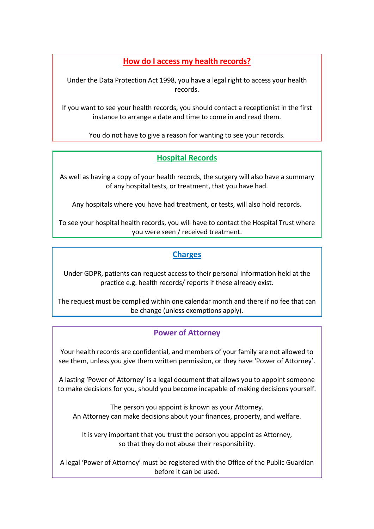# **How do I access my health records?**

Under the Data Protection Act 1998, you have a legal right to access your health records.

If you want to see your health records, you should contact a receptionist in the first instance to arrange a date and time to come in and read them.

You do not have to give a reason for wanting to see your records.

# **Hospital Records**

As well as having a copy of your health records, the surgery will also have a summary of any hospital tests, or treatment, that you have had.

Any hospitals where you have had treatment, or tests, will also hold records.

To see your hospital health records, you will have to contact the Hospital Trust where you were seen / received treatment.

# **Charges**

Under GDPR, patients can request access to their personal information held at the practice e.g. health records/ reports if these already exist.

The request must be complied within one calendar month and there if no fee that can be change (unless exemptions apply).

# **Power of Attorney**

Your health records are confidential, and members of your family are not allowed to see them, unless you give them written permission, or they have 'Power of Attorney'.

A lasting 'Power of Attorney' is a legal document that allows you to appoint someone to make decisions for you, should you become incapable of making decisions yourself.

The person you appoint is known as your Attorney. An Attorney can make decisions about your finances, property, and welfare.

It is very important that you trust the person you appoint as Attorney, so that they do not abuse their responsibility.

A legal 'Power of Attorney' must be registered with the Office of the Public Guardian before it can be used.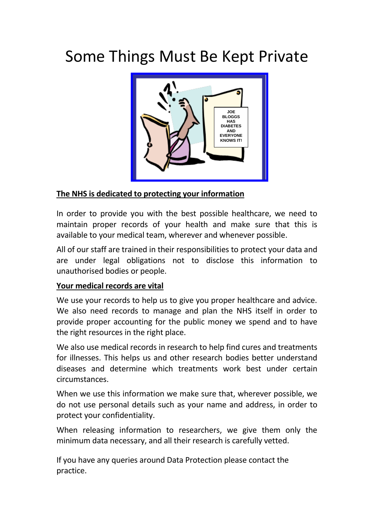# Some Things Must Be Kept Private



# **The NHS is dedicated to protecting your information**

In order to provide you with the best possible healthcare, we need to maintain proper records of your health and make sure that this is available to your medical team, wherever and whenever possible.

All of our staff are trained in their responsibilities to protect your data and are under legal obligations not to disclose this information to unauthorised bodies or people.

# **Your medical records are vital**

We use your records to help us to give you proper healthcare and advice. We also need records to manage and plan the NHS itself in order to provide proper accounting for the public money we spend and to have the right resources in the right place.

We also use medical records in research to help find cures and treatments for illnesses. This helps us and other research bodies better understand diseases and determine which treatments work best under certain circumstances.

When we use this information we make sure that, wherever possible, we do not use personal details such as your name and address, in order to protect your confidentiality.

When releasing information to researchers, we give them only the minimum data necessary, and all their research is carefully vetted.

If you have any queries around Data Protection please contact the practice.